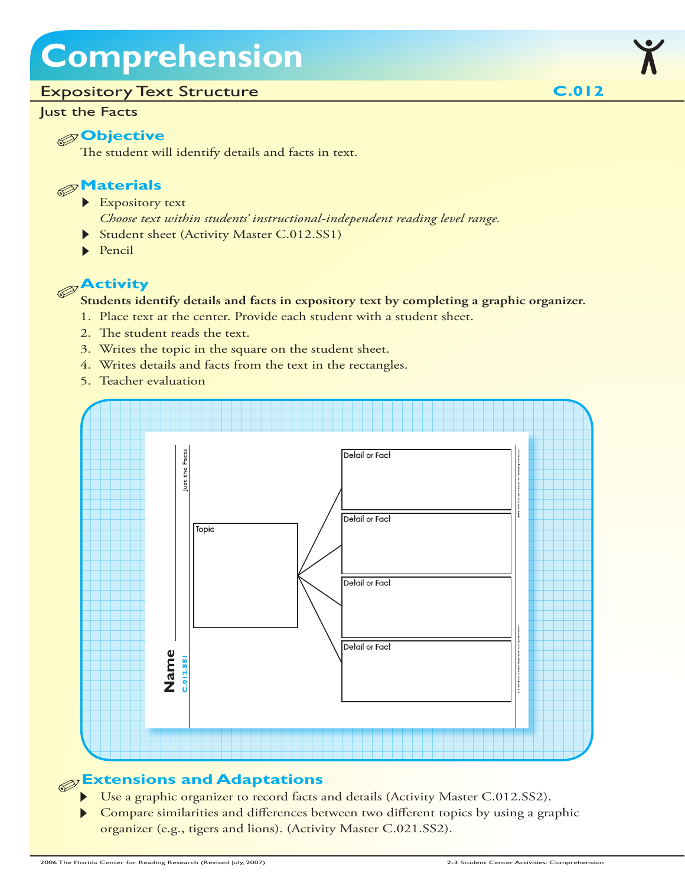## **Comprehension**

#### Expository Text Structure

#### Just the Facts

#### **Objective**

The student will identify details and facts in text.

#### **Materials**

- Expository text
	- *Choose text within students' instructional-independent reading level range.*
- Student sheet (Activity Master C.012.SS1)
- $\blacktriangleright$  Pencil

### **Activity**

#### **Students identify details and facts in expository text by completing a graphic organizer.**

- 1. Place text at the center. Provide each student with a student sheet.
- 2. The student reads the text.
- 3. Writes the topic in the square on the student sheet.
- 4. Writes details and facts from the text in the rectangles.
- 5. Teacher evaluation



#### **Extensions and Adaptations**

- Use a graphic organizer to record facts and details (Activity Master C.012.SS2).
- Compare similarities and differences between two different topics by using a graphic organizer (e.g., tigers and lions). (Activity Master C.021.SS2).

**C.012**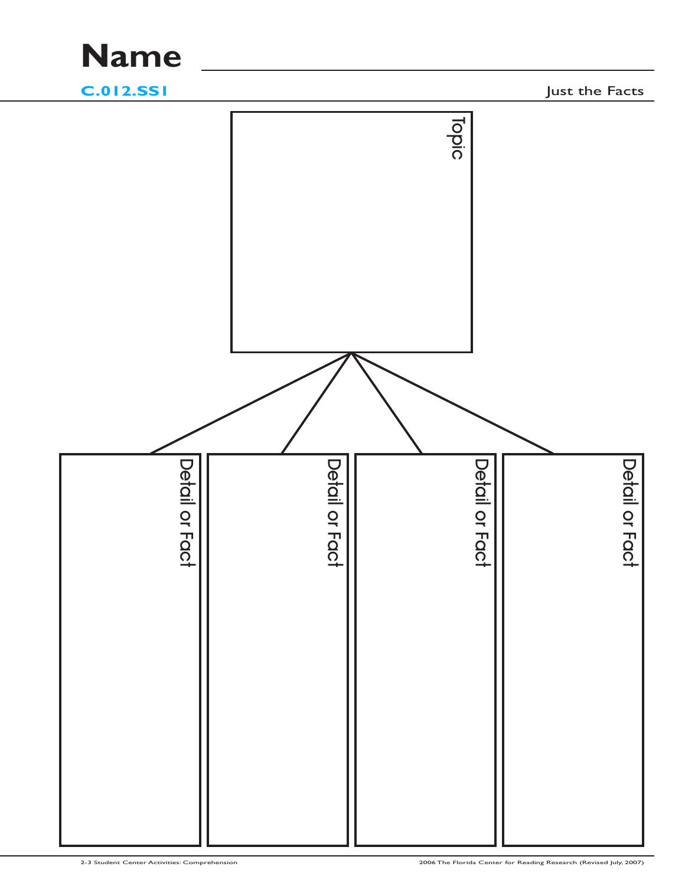